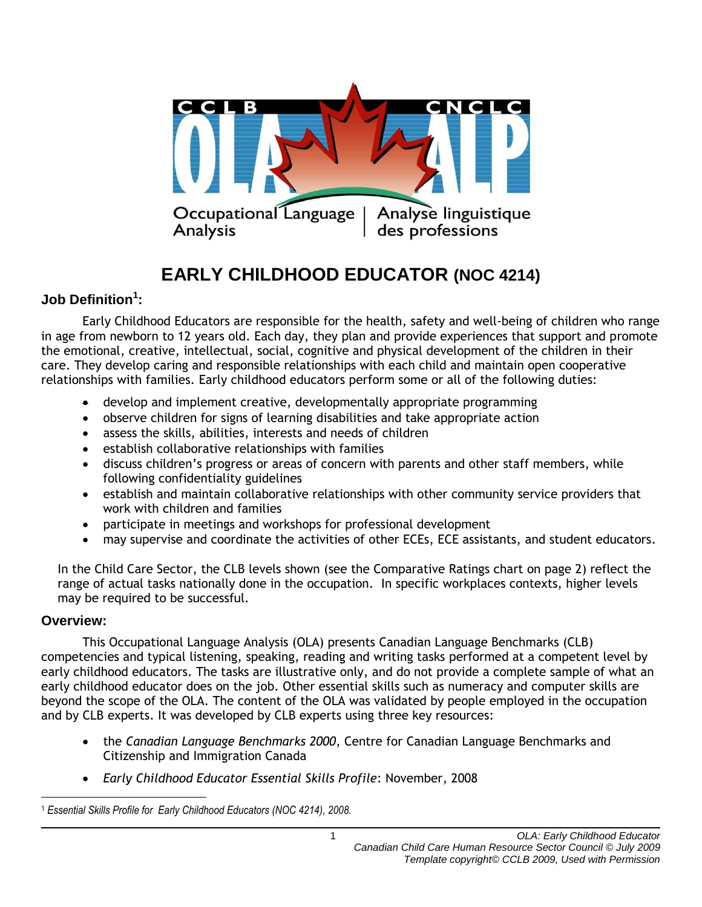

# **EARLY CHILDHOOD EDUCATOR (NOC 4214)**

## **Job Definition<sup>1</sup> :**

Early Childhood Educators are responsible for the health, safety and well-being of children who range in age from newborn to 12 years old. Each day, they plan and provide experiences that support and promote the emotional, creative, intellectual, social, cognitive and physical development of the children in their care. They develop caring and responsible relationships with each child and maintain open cooperative relationships with families. Early childhood educators perform some or all of the following duties:

- develop and implement creative, developmentally appropriate programming
- observe children for signs of learning disabilities and take appropriate action
- assess the skills, abilities, interests and needs of children
- establish collaborative relationships with families
- discuss children's progress or areas of concern with parents and other staff members, while following confidentiality guidelines
- establish and maintain collaborative relationships with other community service providers that work with children and families
- participate in meetings and workshops for professional development
- may supervise and coordinate the activities of other ECEs, ECE assistants, and student educators.

In the Child Care Sector, the CLB levels shown (see the Comparative Ratings chart on page 2) reflect the range of actual tasks nationally done in the occupation. In specific workplaces contexts, higher levels may be required to be successful.

#### **Overview:**

This Occupational Language Analysis (OLA) presents Canadian Language Benchmarks (CLB) competencies and typical listening, speaking, reading and writing tasks performed at a competent level by early childhood educators. The tasks are illustrative only, and do not provide a complete sample of what an early childhood educator does on the job. Other essential skills such as numeracy and computer skills are beyond the scope of the OLA. The content of the OLA was validated by people employed in the occupation and by CLB experts. It was developed by CLB experts using three key resources:

- the *Canadian Language Benchmarks 2000*, Centre for Canadian Language Benchmarks and Citizenship and Immigration Canada
- *Early Childhood Educator Essential Skills Profile*: November, 2008

 $\overline{a}$ <sup>1</sup> *Essential Skills Profile for Early Childhood Educators (NOC 4214), 2008.*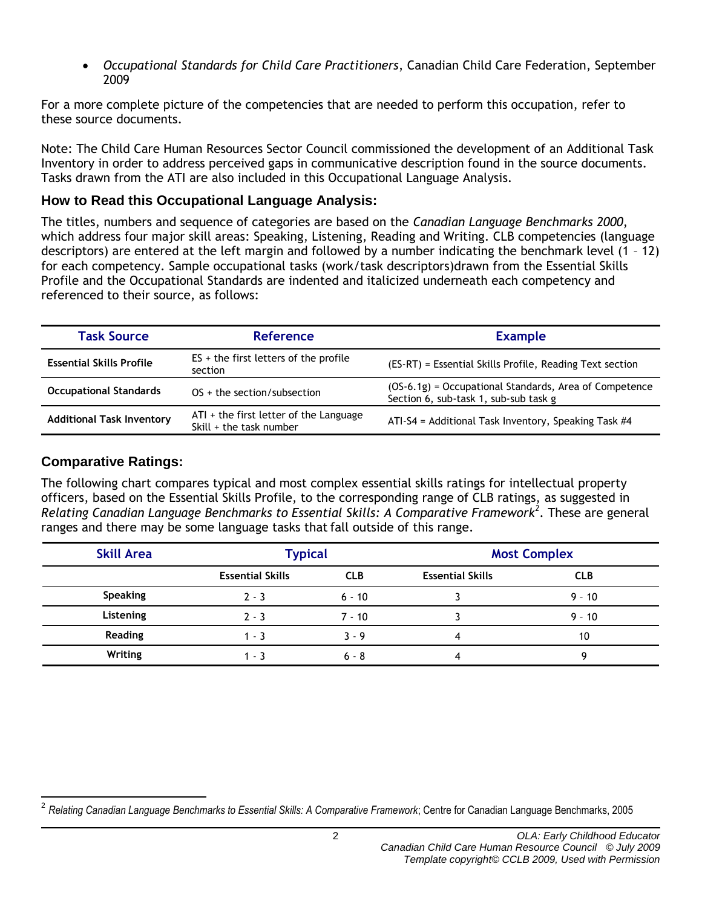*Occupational Standards for Child Care Practitioners*, Canadian Child Care Federation, September 2009

For a more complete picture of the competencies that are needed to perform this occupation, refer to these source documents.

Note: The Child Care Human Resources Sector Council commissioned the development of an Additional Task Inventory in order to address perceived gaps in communicative description found in the source documents. Tasks drawn from the ATI are also included in this Occupational Language Analysis.

#### **How to Read this Occupational Language Analysis:**

The titles, numbers and sequence of categories are based on the *Canadian Language Benchmarks 2000*, which address four major skill areas: Speaking, Listening, Reading and Writing. CLB competencies (language descriptors) are entered at the left margin and followed by a number indicating the benchmark level (1 – 12) for each competency. Sample occupational tasks (work/task descriptors)drawn from the Essential Skills Profile and the Occupational Standards are indented and italicized underneath each competency and referenced to their source, as follows:

| <b>Task Source</b>               | Reference                                                         | <b>Example</b>                                                                                  |  |
|----------------------------------|-------------------------------------------------------------------|-------------------------------------------------------------------------------------------------|--|
| <b>Essential Skills Profile</b>  | $ES +$ the first letters of the profile<br>section                | (ES-RT) = Essential Skills Profile, Reading Text section                                        |  |
| <b>Occupational Standards</b>    | $OS +$ the section/subsection                                     | (OS-6.1g) = Occupational Standards, Area of Competence<br>Section 6, sub-task 1, sub-sub task g |  |
| <b>Additional Task Inventory</b> | ATI + the first letter of the Language<br>Skill + the task number | ATI-S4 = Additional Task Inventory, Speaking Task #4                                            |  |

### **Comparative Ratings:**

The following chart compares typical and most complex essential skills ratings for intellectual property officers, based on the Essential Skills Profile, to the corresponding range of CLB ratings, as suggested in *Relating Canadian Language Benchmarks to Essential Skills: A Comparative Framework<sup>2</sup>* . These are general ranges and there may be some language tasks that fall outside of this range.

| <b>Skill Area</b> | <b>Typical</b>          |            | <b>Most Complex</b>     |            |
|-------------------|-------------------------|------------|-------------------------|------------|
|                   | <b>Essential Skills</b> | <b>CLB</b> | <b>Essential Skills</b> | <b>CLB</b> |
| <b>Speaking</b>   | $2 - 3$                 | $6 - 10$   |                         | $9 - 10$   |
| Listening         | $2 - 3$                 | $7 - 10$   |                         | $9 - 10$   |
| <b>Reading</b>    | $1 - 3$                 | $3 - 9$    | 4                       | 10         |
| Writing           | 1 - 3                   | $6 - 8$    |                         |            |

 $\overline{a}$ 2 *Relating Canadian Language Benchmarks to Essential Skills: A Comparative Framework*; Centre for Canadian Language Benchmarks, 2005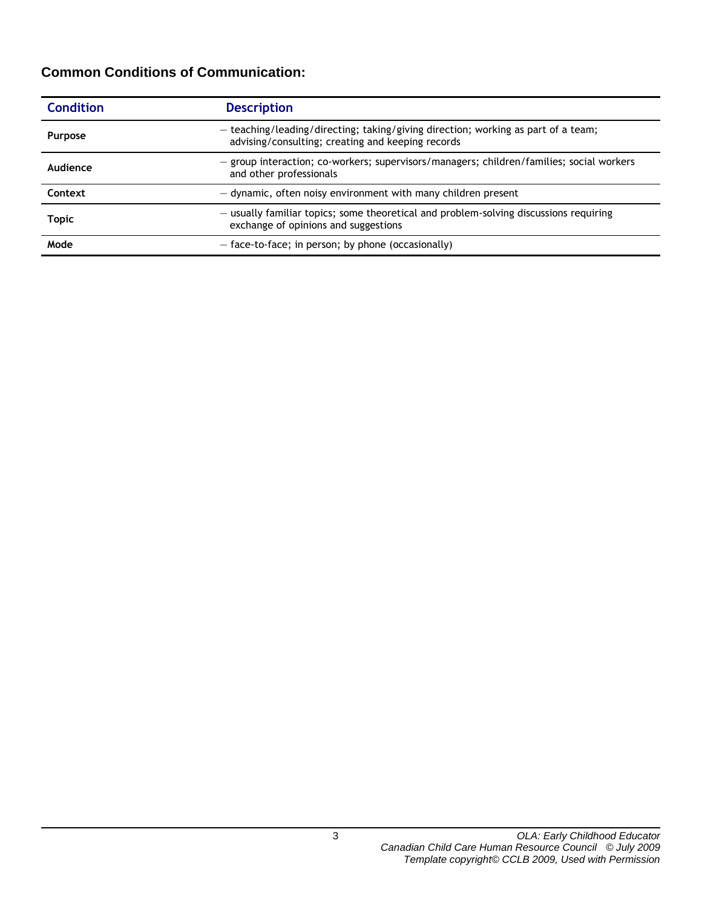## **Common Conditions of Communication:**

| <b>Condition</b> | <b>Description</b>                                                                                                                     |  |
|------------------|----------------------------------------------------------------------------------------------------------------------------------------|--|
| <b>Purpose</b>   | - teaching/leading/directing; taking/giving direction; working as part of a team;<br>advising/consulting; creating and keeping records |  |
| Audience         | - group interaction; co-workers; supervisors/managers; children/families; social workers<br>and other professionals                    |  |
| Context          | - dynamic, often noisy environment with many children present                                                                          |  |
| <b>Topic</b>     | - usually familiar topics; some theoretical and problem-solving discussions requiring<br>exchange of opinions and suggestions          |  |
| Mode             | $-$ face-to-face; in person; by phone (occasionally)                                                                                   |  |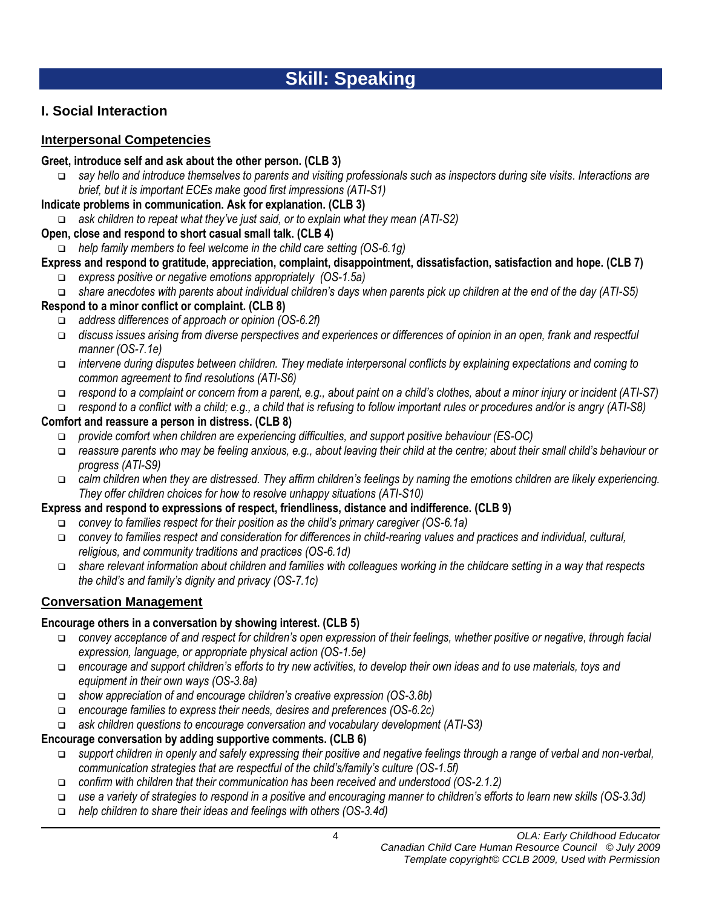# **Skill: Speaking**

## **I. Social Interaction**

#### **Interpersonal Competencies**

#### **Greet, introduce self and ask about the other person. (CLB 3)**

 *say hello and introduce themselves to parents and visiting professionals such as inspectors during site visits. Interactions are brief, but it is important ECEs make good first impressions (ATI-S1)*

#### **Indicate problems in communication. Ask for explanation. (CLB 3)**

*ask children to repeat what they've just said, or to explain what they mean (ATI-S2)*

#### **Open, close and respond to short casual small talk. (CLB 4)**

*help family members to feel welcome in the child care setting (OS-6.1g)* 

## **Express and respond to gratitude, appreciation, complaint, disappointment, dissatisfaction, satisfaction and hope. (CLB 7)**

- *express positive or negative emotions appropriately (OS-1.5a)*
- *share anecdotes with parents about individual children's days when parents pick up children at the end of the day (ATI-S5)*

#### **Respond to a minor conflict or complaint. (CLB 8)**

- *address differences of approach or opinion (OS-6.2f)*
- *discuss issues arising from diverse perspectives and experiences or differences of opinion in an open, frank and respectful manner (OS-7.1e)*
- *intervene during disputes between children. They mediate interpersonal conflicts by explaining expectations and coming to common agreement to find resolutions (ATI-S6)*
- *respond to a complaint or concern from a parent, e.g., about paint on a child's clothes, about a minor injury or incident (ATI-S7)*
- *respond to a conflict with a child; e.g., a child that is refusing to follow important rules or procedures and/or is angry (ATI-S8)*

#### **Comfort and reassure a person in distress. (CLB 8)**

- *provide comfort when children are experiencing difficulties, and support positive behaviour (ES-OC)*
- *reassure parents who may be feeling anxious, e.g., about leaving their child at the centre; about their small child's behaviour or progress (ATI-S9)*
- *calm children when they are distressed. They affirm children's feelings by naming the emotions children are likely experiencing. They offer children choices for how to resolve unhappy situations (ATI-S10)*

### **Express and respond to expressions of respect, friendliness, distance and indifference. (CLB 9)**

- *convey to families respect for their position as the child's primary caregiver (OS-6.1a)*
- *convey to families respect and consideration for differences in child-rearing values and practices and individual, cultural, religious, and community traditions and practices (OS-6.1d)*
- *share relevant information about children and families with colleagues working in the childcare setting in a way that respects the child's and family's dignity and privacy (OS-7.1c)*

## **Conversation Management**

### **Encourage others in a conversation by showing interest. (CLB 5)**

- *convey acceptance of and respect for children's open expression of their feelings, whether positive or negative, through facial expression, language, or appropriate physical action (OS-1.5e)*
- *encourage and support children's efforts to try new activities, to develop their own ideas and to use materials, toys and equipment in their own ways (OS-3.8a)*
- *show appreciation of and encourage children's creative expression (OS-3.8b)*
- *encourage families to express their needs, desires and preferences (OS-6.2c)*
- *ask children questions to encourage conversation and vocabulary development (ATI-S3)*

### **Encourage conversation by adding supportive comments. (CLB 6)**

- *support children in openly and safely expressing their positive and negative feelings through a range of verbal and non-verbal, communication strategies that are respectful of the child's/family's culture (OS-1.5f)*
- *confirm with children that their communication has been received and understood (OS-2.1.2)*
- *use a variety of strategies to respond in a positive and encouraging manner to children's efforts to learn new skills (OS-3.3d)*
- *help children to share their ideas and feelings with others (OS-3.4d)*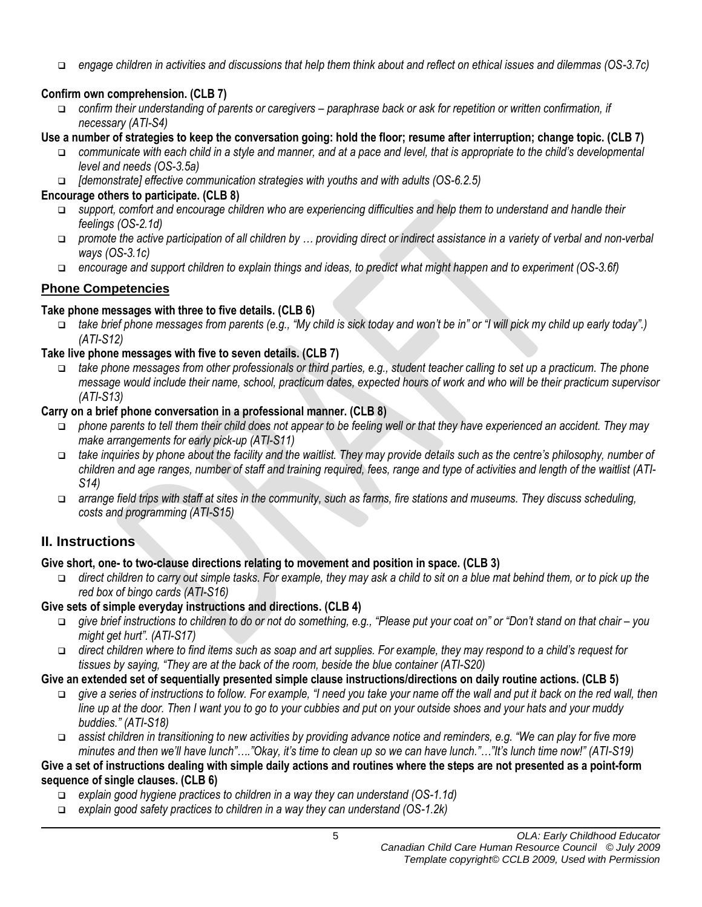*engage children in activities and discussions that help them think about and reflect on ethical issues and dilemmas (OS-3.7c)*

## **Confirm own comprehension. (CLB 7)**

- *confirm their understanding of parents or caregivers – paraphrase back or ask for repetition or written confirmation, if necessary (ATI-S4)*
- **Use a number of strategies to keep the conversation going: hold the floor; resume after interruption; change topic. (CLB 7)**
	- *communicate with each child in a style and manner, and at a pace and level, that is appropriate to the child's developmental level and needs (OS-3.5a)*
	- *[demonstrate] effective communication strategies with youths and with adults (OS-6.2.5)*

## **Encourage others to participate. (CLB 8)**

- *support, comfort and encourage children who are experiencing difficulties and help them to understand and handle their feelings (OS-2.1d)*
- *promote the active participation of all children by … providing direct or indirect assistance in a variety of verbal and non-verbal ways (OS-3.1c)*
- *encourage and support children to explain things and ideas, to predict what might happen and to experiment (OS-3.6f)*

## **Phone Competencies**

## **Take phone messages with three to five details. (CLB 6)**

 *take brief phone messages from parents (e.g., "My child is sick today and won't be in" or "I will pick my child up early today".) (ATI-S12)*

## **Take live phone messages with five to seven details. (CLB 7)**

 *take phone messages from other professionals or third parties, e.g., student teacher calling to set up a practicum. The phone message would include their name, school, practicum dates, expected hours of work and who will be their practicum supervisor (ATI-S13)* 

## **Carry on a brief phone conversation in a professional manner. (CLB 8)**

- *phone parents to tell them their child does not appear to be feeling well or that they have experienced an accident. They may make arrangements for early pick-up (ATI-S11)*
- *take inquiries by phone about the facility and the waitlist. They may provide details such as the centre's philosophy, number of children and age ranges, number of staff and training required, fees, range and type of activities and length of the waitlist (ATI-S14)*
- *arrange field trips with staff at sites in the community, such as farms, fire stations and museums. They discuss scheduling, costs and programming (ATI-S15)*

## **II. Instructions**

## **Give short, one- to two-clause directions relating to movement and position in space. (CLB 3)**

 *direct children to carry out simple tasks. For example, they may ask a child to sit on a blue mat behind them, or to pick up the red box of bingo cards (ATI-S16)*

## **Give sets of simple everyday instructions and directions. (CLB 4)**

- *give brief instructions to children to do or not do something, e.g., "Please put your coat on" or "Don't stand on that chair – you might get hurt". (ATI-S17)*
- *direct children where to find items such as soap and art supplies. For example, they may respond to a child's request for tissues by saying, "They are at the back of the room, beside the blue container (ATI-S20)*

## **Give an extended set of sequentially presented simple clause instructions/directions on daily routine actions. (CLB 5)**

- *give a series of instructions to follow. For example, "I need you take your name off the wall and put it back on the red wall, then line up at the door. Then I want you to go to your cubbies and put on your outside shoes and your hats and your muddy buddies." (ATI-S18)*
- *assist children in transitioning to new activities by providing advance notice and reminders, e.g. "We can play for five more minutes and then we'll have lunch"…."Okay, it's time to clean up so we can have lunch."…"It's lunch time now!" (ATI-S19)*

### **Give a set of instructions dealing with simple daily actions and routines where the steps are not presented as a point-form sequence of single clauses. (CLB 6)**

- *explain good hygiene practices to children in a way they can understand (OS-1.1d)*
- *explain good safety practices to children in a way they can understand (OS-1.2k)*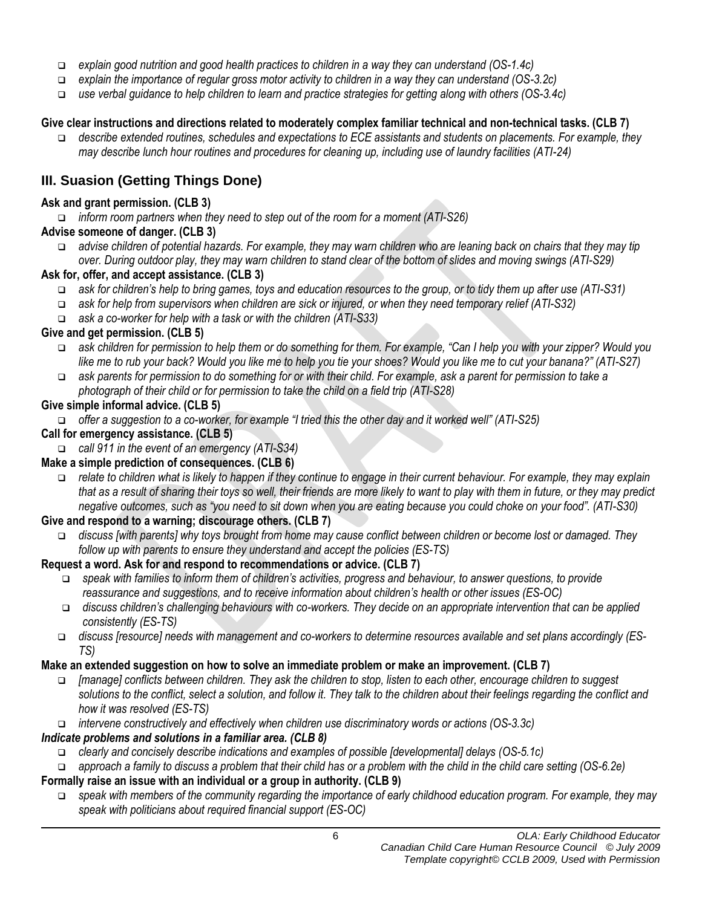- *explain good nutrition and good health practices to children in a way they can understand (OS-1.4c)*
- *explain the importance of regular gross motor activity to children in a way they can understand (OS-3.2c)*
- *use verbal guidance to help children to learn and practice strategies for getting along with others (OS-3.4c)*

#### **Give clear instructions and directions related to moderately complex familiar technical and non-technical tasks. (CLB 7)**

 *describe extended routines, schedules and expectations to ECE assistants and students on placements. For example, they may describe lunch hour routines and procedures for cleaning up, including use of laundry facilities (ATI-24)*

## **III. Suasion (Getting Things Done)**

#### **Ask and grant permission. (CLB 3)**

*inform room partners when they need to step out of the room for a moment (ATI-S26)*

#### **Advise someone of danger. (CLB 3)**

 *advise children of potential hazards. For example, they may warn children who are leaning back on chairs that they may tip over. During outdoor play, they may warn children to stand clear of the bottom of slides and moving swings (ATI-S29)*

#### **Ask for, offer, and accept assistance. (CLB 3)**

- *ask for children's help to bring games, toys and education resources to the group, or to tidy them up after use (ATI-S31)*
- *ask for help from supervisors when children are sick or injured, or when they need temporary relief (ATI-S32)*
- *ask a co-worker for help with a task or with the children (ATI-S33)*

#### **Give and get permission. (CLB 5)**

- *ask children for permission to help them or do something for them. For example, "Can I help you with your zipper? Would you like me to rub your back? Would you like me to help you tie your shoes? Would you like me to cut your banana?" (ATI-S27)*
- *ask parents for permission to do something for or with their child. For example, ask a parent for permission to take a photograph of their child or for permission to take the child on a field trip (ATI-S28)*

#### **Give simple informal advice. (CLB 5)**

*offer a suggestion to a co-worker, for example "I tried this the other day and it worked well" (ATI-S25)*

#### **Call for emergency assistance. (CLB 5)**

*call 911 in the event of an emergency (ATI-S34)*

### **Make a simple prediction of consequences. (CLB 6)**

 *relate to children what is likely to happen if they continue to engage in their current behaviour. For example, they may explain that as a result of sharing their toys so well, their friends are more likely to want to play with them in future, or they may predict negative outcomes, such as "you need to sit down when you are eating because you could choke on your food". (ATI-S30)*

#### **Give and respond to a warning; discourage others. (CLB 7)**

 *discuss [with parents] why toys brought from home may cause conflict between children or become lost or damaged. They follow up with parents to ensure they understand and accept the policies (ES-TS)*

#### **Request a word. Ask for and respond to recommendations or advice. (CLB 7)**

- *speak with families to inform them of children's activities, progress and behaviour, to answer questions, to provide reassurance and suggestions, and to receive information about children's health or other issues (ES-OC)*
- *discuss children's challenging behaviours with co-workers. They decide on an appropriate intervention that can be applied consistently (ES-TS)*
- *discuss [resource] needs with management and co-workers to determine resources available and set plans accordingly (ES-TS)*

#### **Make an extended suggestion on how to solve an immediate problem or make an improvement. (CLB 7)**

- *[manage] conflicts between children. They ask the children to stop, listen to each other, encourage children to suggest solutions to the conflict, select a solution, and follow it. They talk to the children about their feelings regarding the conflict and how it was resolved (ES-TS)*
- *intervene constructively and effectively when children use discriminatory words or actions (OS-3.3c)*

### *Indicate problems and solutions in a familiar area. (CLB 8)*

- *clearly and concisely describe indications and examples of possible [developmental] delays (OS-5.1c)*
- *approach a family to discuss a problem that their child has or a problem with the child in the child care setting (OS-6.2e)*

### **Formally raise an issue with an individual or a group in authority. (CLB 9)**

 *speak with members of the community regarding the importance of early childhood education program. For example, they may speak with politicians about required financial support (ES-OC)*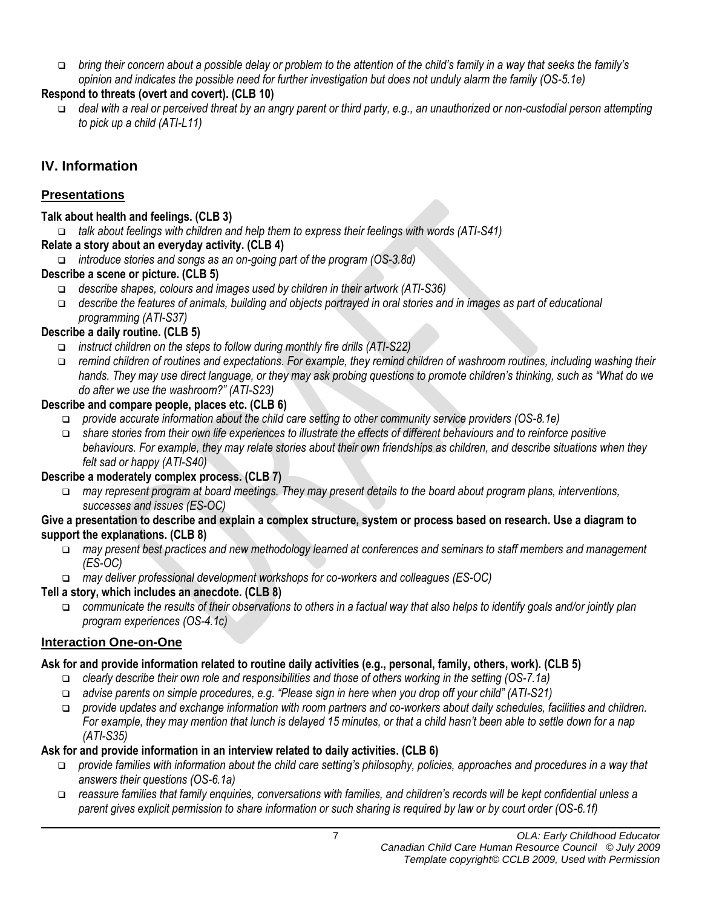*bring their concern about a possible delay or problem to the attention of the child's family in a way that seeks the family's opinion and indicates the possible need for further investigation but does not unduly alarm the family (OS-5.1e)*

### **Respond to threats (overt and covert). (CLB 10)**

 *deal with a real or perceived threat by an angry parent or third party, e.g., an unauthorized or non-custodial person attempting to pick up a child (ATI-L11)*

## **IV. Information**

## **Presentations**

#### **Talk about health and feelings. (CLB 3)**

*talk about feelings with children and help them to express their feelings with words (ATI-S41)*

### **Relate a story about an everyday activity. (CLB 4)**

*introduce stories and songs as an on-going part of the program (OS-3.8d)* 

#### **Describe a scene or picture. (CLB 5)**

- *describe shapes, colours and images used by children in their artwork (ATI-S36)*
- *describe the features of animals, building and objects portrayed in oral stories and in images as part of educational programming (ATI-S37)*

### **Describe a daily routine. (CLB 5)**

- *instruct children on the steps to follow during monthly fire drills (ATI-S22)*
- *remind children of routines and expectations. For example, they remind children of washroom routines, including washing their hands. They may use direct language, or they may ask probing questions to promote children's thinking, such as "What do we do after we use the washroom?" (ATI-S23)*

### **Describe and compare people, places etc. (CLB 6)**

- *provide accurate information about the child care setting to other community service providers (OS-8.1e)*
- *share stories from their own life experiences to illustrate the effects of different behaviours and to reinforce positive behaviours. For example, they may relate stories about their own friendships as children, and describe situations when they felt sad or happy (ATI-S40)*

### **Describe a moderately complex process. (CLB 7)**

 *may represent program at board meetings. They may present details to the board about program plans, interventions, successes and issues (ES-OC)*

#### **Give a presentation to describe and explain a complex structure, system or process based on research. Use a diagram to support the explanations. (CLB 8)**

- *may present best practices and new methodology learned at conferences and seminars to staff members and management (ES-OC)*
- *may deliver professional development workshops for co-workers and colleagues (ES-OC)*

### **Tell a story, which includes an anecdote. (CLB 8)**

 *communicate the results of their observations to others in a factual way that also helps to identify goals and/or jointly plan program experiences (OS-4.1c)* 

### **Interaction One-on-One**

### **Ask for and provide information related to routine daily activities (e.g., personal, family, others, work). (CLB 5)**

- *clearly describe their own role and responsibilities and those of others working in the setting (OS-7.1a)*
- *advise parents on simple procedures, e.g. "Please sign in here when you drop off your child" (ATI-S21)*
- *provide updates and exchange information with room partners and co-workers about daily schedules, facilities and children. For example, they may mention that lunch is delayed 15 minutes, or that a child hasn't been able to settle down for a nap (ATI-S35)*

### **Ask for and provide information in an interview related to daily activities. (CLB 6)**

- *provide families with information about the child care setting's philosophy, policies, approaches and procedures in a way that answers their questions (OS-6.1a)*
- *reassure families that family enquiries, conversations with families, and children's records will be kept confidential unless a parent gives explicit permission to share information or such sharing is required by law or by court order (OS-6.1f)*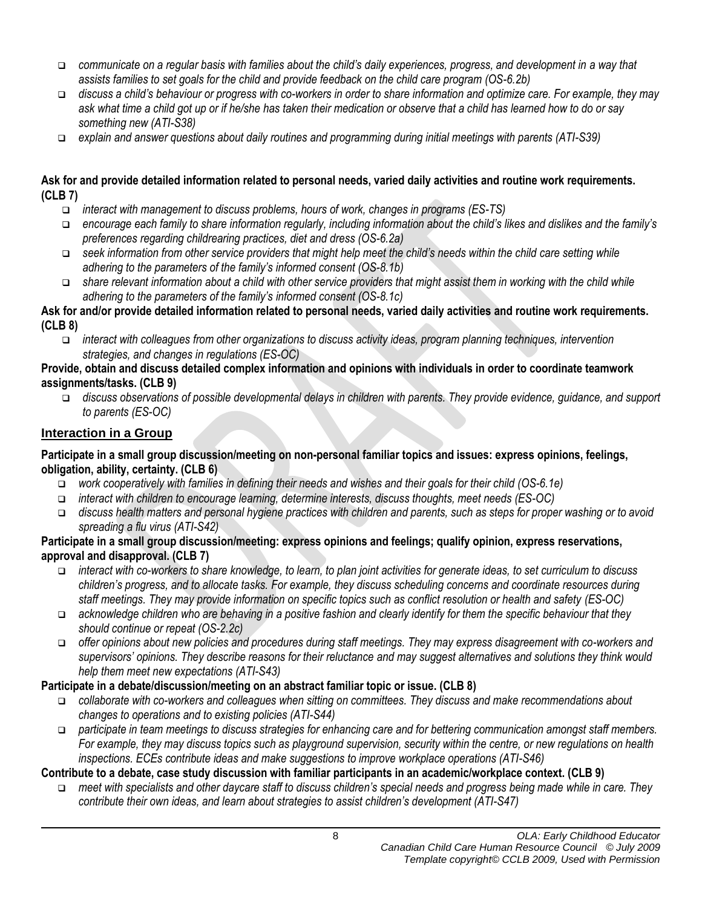- *communicate on a regular basis with families about the child's daily experiences, progress, and development in a way that assists families to set goals for the child and provide feedback on the child care program (OS-6.2b)*
- *discuss a child's behaviour or progress with co-workers in order to share information and optimize care. For example, they may ask what time a child got up or if he/she has taken their medication or observe that a child has learned how to do or say something new (ATI-S38)*
- *explain and answer questions about daily routines and programming during initial meetings with parents (ATI-S39)*

#### **Ask for and provide detailed information related to personal needs, varied daily activities and routine work requirements. (CLB 7)**

- *interact with management to discuss problems, hours of work, changes in programs (ES-TS)*
- *encourage each family to share information regularly, including information about the child's likes and dislikes and the family's preferences regarding childrearing practices, diet and dress (OS-6.2a)*
- *seek information from other service providers that might help meet the child's needs within the child care setting while adhering to the parameters of the family's informed consent (OS-8.1b)*
- *share relevant information about a child with other service providers that might assist them in working with the child while adhering to the parameters of the family's informed consent (OS-8.1c)*

#### **Ask for and/or provide detailed information related to personal needs, varied daily activities and routine work requirements. (CLB 8)**

 *interact with colleagues from other organizations to discuss activity ideas, program planning techniques, intervention strategies, and changes in regulations (ES-OC)*

#### **Provide, obtain and discuss detailed complex information and opinions with individuals in order to coordinate teamwork assignments/tasks. (CLB 9)**

 *discuss observations of possible developmental delays in children with parents. They provide evidence, guidance, and support to parents (ES-OC)*

#### **Interaction in a Group**

#### **Participate in a small group discussion/meeting on non-personal familiar topics and issues: express opinions, feelings, obligation, ability, certainty. (CLB 6)**

- *work cooperatively with families in defining their needs and wishes and their goals for their child (OS-6.1e)*
- *interact with children to encourage learning, determine interests, discuss thoughts, meet needs (ES-OC)*
- *discuss health matters and personal hygiene practices with children and parents, such as steps for proper washing or to avoid spreading a flu virus (ATI-S42)*

#### **Participate in a small group discussion/meeting: express opinions and feelings; qualify opinion, express reservations, approval and disapproval. (CLB 7)**

- *interact with co-workers to share knowledge, to learn, to plan joint activities for generate ideas, to set curriculum to discuss children's progress, and to allocate tasks. For example, they discuss scheduling concerns and coordinate resources during staff meetings. They may provide information on specific topics such as conflict resolution or health and safety (ES-OC)*
- *acknowledge children who are behaving in a positive fashion and clearly identify for them the specific behaviour that they should continue or repeat (OS-2.2c)*
- *offer opinions about new policies and procedures during staff meetings. They may express disagreement with co-workers and supervisors' opinions. They describe reasons for their reluctance and may suggest alternatives and solutions they think would help them meet new expectations (ATI-S43)*

#### **Participate in a debate/discussion/meeting on an abstract familiar topic or issue. (CLB 8)**

- *collaborate with co-workers and colleagues when sitting on committees. They discuss and make recommendations about changes to operations and to existing policies (ATI-S44)*
- *participate in team meetings to discuss strategies for enhancing care and for bettering communication amongst staff members. For example, they may discuss topics such as playground supervision, security within the centre, or new regulations on health inspections. ECEs contribute ideas and make suggestions to improve workplace operations (ATI-S46)*

#### **Contribute to a debate, case study discussion with familiar participants in an academic/workplace context. (CLB 9)**

 *meet with specialists and other daycare staff to discuss children's special needs and progress being made while in care. They contribute their own ideas, and learn about strategies to assist children's development (ATI-S47)*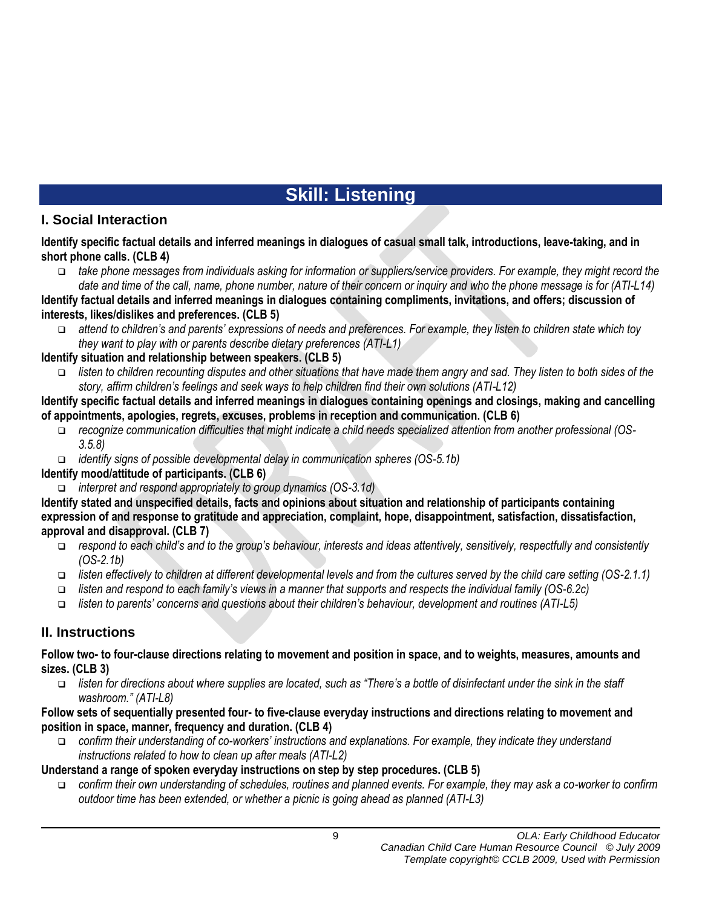# **Skill: Listening**

## **I. Social Interaction**

**Identify specific factual details and inferred meanings in dialogues of casual small talk, introductions, leave-taking, and in short phone calls. (CLB 4)**

 *take phone messages from individuals asking for information or suppliers/service providers. For example, they might record the date and time of the call, name, phone number, nature of their concern or inquiry and who the phone message is for (ATI-L14)*

**Identify factual details and inferred meanings in dialogues containing compliments, invitations, and offers; discussion of interests, likes/dislikes and preferences. (CLB 5)**

 *attend to children's and parents' expressions of needs and preferences. For example, they listen to children state which toy they want to play with or parents describe dietary preferences (ATI-L1)*

#### **Identify situation and relationship between speakers. (CLB 5)**

 *listen to children recounting disputes and other situations that have made them angry and sad. They listen to both sides of the story, affirm children's feelings and seek ways to help children find their own solutions (ATI-L12)*

**Identify specific factual details and inferred meanings in dialogues containing openings and closings, making and cancelling of appointments, apologies, regrets, excuses, problems in reception and communication. (CLB 6)**

- *recognize communication difficulties that might indicate a child needs specialized attention from another professional (OS-3.5.8)*
- *identify signs of possible developmental delay in communication spheres (OS-5.1b)*

#### **Identify mood/attitude of participants. (CLB 6)**

*interpret and respond appropriately to group dynamics (OS-3.1d)* 

**Identify stated and unspecified details, facts and opinions about situation and relationship of participants containing expression of and response to gratitude and appreciation, complaint, hope, disappointment, satisfaction, dissatisfaction, approval and disapproval. (CLB 7)**

- *respond to each child's and to the group's behaviour, interests and ideas attentively, sensitively, respectfully and consistently (OS-2.1b)*
- *listen effectively to children at different developmental levels and from the cultures served by the child care setting (OS-2.1.1)*
- *listen and respond to each family's views in a manner that supports and respects the individual family (OS-6.2c)*
- *listen to parents' concerns and questions about their children's behaviour, development and routines (ATI-L5)*

## **II. Instructions**

**Follow two- to four-clause directions relating to movement and position in space, and to weights, measures, amounts and sizes. (CLB 3)**

 *listen for directions about where supplies are located, such as "There's a bottle of disinfectant under the sink in the staff washroom." (ATI-L8)*

#### **Follow sets of sequentially presented four- to five-clause everyday instructions and directions relating to movement and position in space, manner, frequency and duration. (CLB 4)**

 *confirm their understanding of co-workers' instructions and explanations. For example, they indicate they understand instructions related to how to clean up after meals (ATI-L2)*

### **Understand a range of spoken everyday instructions on step by step procedures. (CLB 5)**

 *confirm their own understanding of schedules, routines and planned events. For example, they may ask a co-worker to confirm outdoor time has been extended, or whether a picnic is going ahead as planned (ATI-L3)*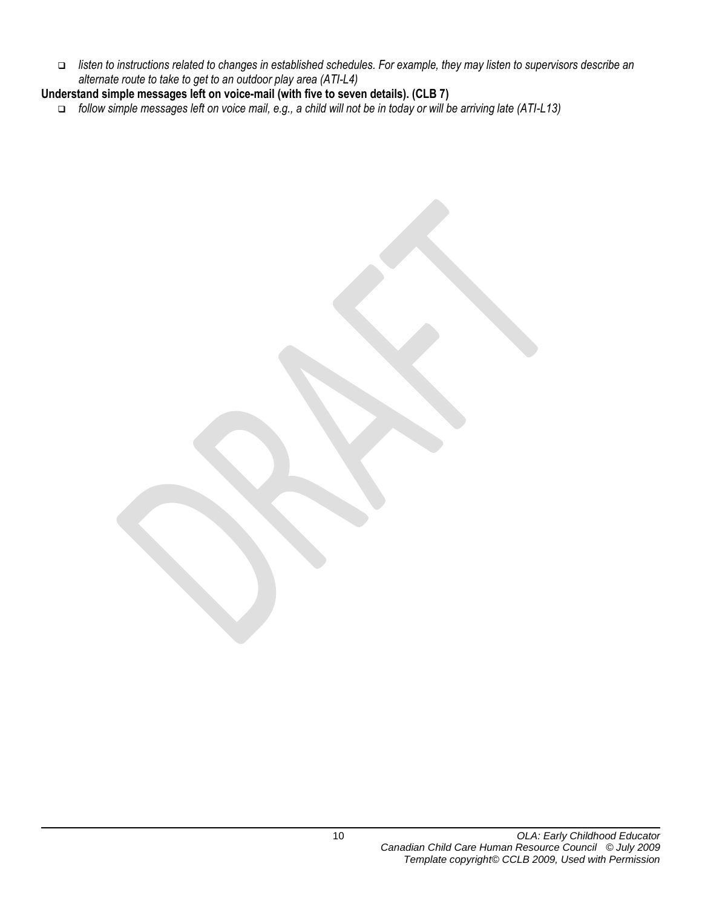- *listen to instructions related to changes in established schedules. For example, they may listen to supervisors describe an alternate route to take to get to an outdoor play area (ATI-L4)*
- **Understand simple messages left on voice-mail (with five to seven details). (CLB 7)**
	- *follow simple messages left on voice mail, e.g., a child will not be in today or will be arriving late (ATI-L13)*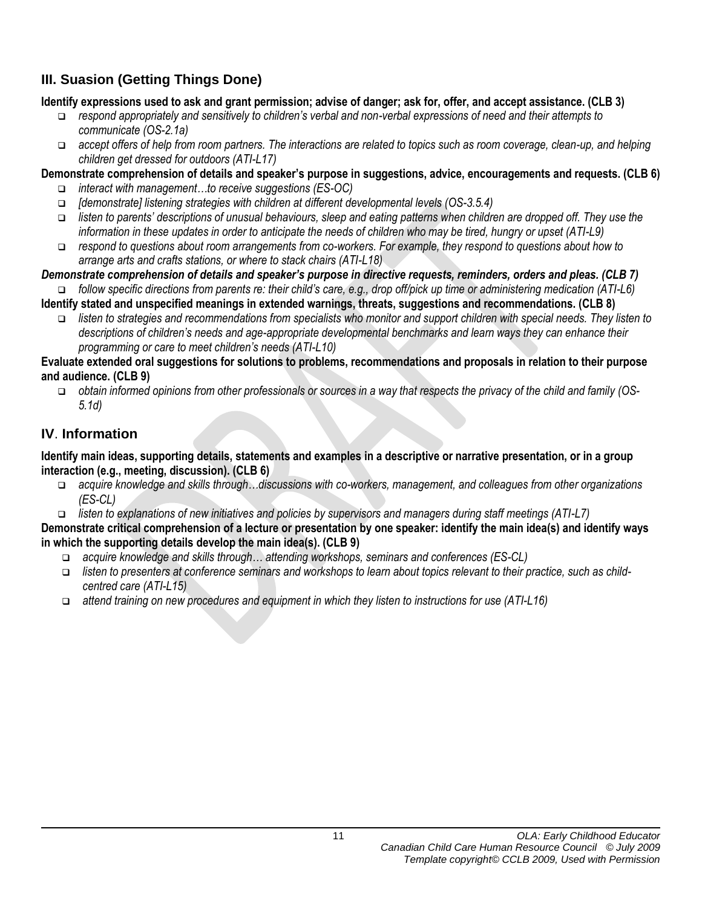## **III. Suasion (Getting Things Done)**

#### **Identify expressions used to ask and grant permission; advise of danger; ask for, offer, and accept assistance. (CLB 3)**

- *respond appropriately and sensitively to children's verbal and non-verbal expressions of need and their attempts to communicate (OS-2.1a)*
- *accept offers of help from room partners. The interactions are related to topics such as room coverage, clean-up, and helping children get dressed for outdoors (ATI-L17)*
- **Demonstrate comprehension of details and speaker's purpose in suggestions, advice, encouragements and requests. (CLB 6)**
	- *interact with management…to receive suggestions (ES-OC)*
	- *[demonstrate] listening strategies with children at different developmental levels (OS-3.5.4)*
	- *listen to parents' descriptions of unusual behaviours, sleep and eating patterns when children are dropped off. They use the information in these updates in order to anticipate the needs of children who may be tired, hungry or upset (ATI-L9)*
	- *respond to questions about room arrangements from co-workers. For example, they respond to questions about how to arrange arts and crafts stations, or where to stack chairs (ATI-L18)*
- *Demonstrate comprehension of details and speaker's purpose in directive requests, reminders, orders and pleas. (CLB 7)*

 *follow specific directions from parents re: their child's care, e.g., drop off/pick up time or administering medication (ATI-L6)*  **Identify stated and unspecified meanings in extended warnings, threats, suggestions and recommendations. (CLB 8)** 

 *listen to strategies and recommendations from specialists who monitor and support children with special needs. They listen to descriptions of children's needs and age-appropriate developmental benchmarks and learn ways they can enhance their programming or care to meet children's needs (ATI-L10)*

#### **Evaluate extended oral suggestions for solutions to problems, recommendations and proposals in relation to their purpose and audience. (CLB 9)**

 *obtain informed opinions from other professionals or sources in a way that respects the privacy of the child and family (OS-5.1d)* 

## **IV**. **Information**

**Identify main ideas, supporting details, statements and examples in a descriptive or narrative presentation, or in a group interaction (e.g., meeting, discussion). (CLB 6)**

- *acquire knowledge and skills through…discussions with co-workers, management, and colleagues from other organizations (ES-CL)*
- *listen to explanations of new initiatives and policies by supervisors and managers during staff meetings (ATI-L7)*

#### **Demonstrate critical comprehension of a lecture or presentation by one speaker: identify the main idea(s) and identify ways in which the supporting details develop the main idea(s). (CLB 9)**

- *acquire knowledge and skills through… attending workshops, seminars and conferences (ES-CL)*
- *listen to presenters at conference seminars and workshops to learn about topics relevant to their practice, such as childcentred care (ATI-L15)*
- *attend training on new procedures and equipment in which they listen to instructions for use (ATI-L16)*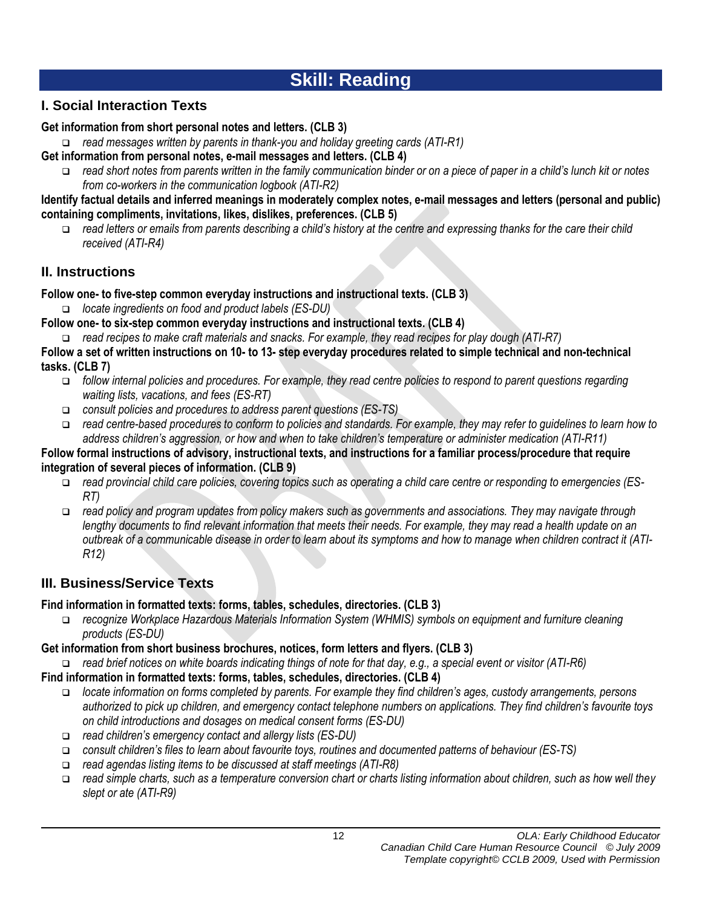# **Skill: Reading**

## **I. Social Interaction Texts**

#### **Get information from short personal notes and letters. (CLB 3)**

- *read messages written by parents in thank-you and holiday greeting cards (ATI-R1)*
- **Get information from personal notes, e-mail messages and letters. (CLB 4)**
	- *read short notes from parents written in the family communication binder or on a piece of paper in a child's lunch kit or notes from co-workers in the communication logbook (ATI-R2)*

**Identify factual details and inferred meanings in moderately complex notes, e-mail messages and letters (personal and public) containing compliments, invitations, likes, dislikes, preferences. (CLB 5)**

 *read letters or emails from parents describing a child's history at the centre and expressing thanks for the care their child received (ATI-R4)*

## **II. Instructions**

**Follow one- to five-step common everyday instructions and instructional texts. (CLB 3)**

- *locate ingredients on food and product labels (ES-DU)*
- **Follow one- to six-step common everyday instructions and instructional texts. (CLB 4)**
	- *read recipes to make craft materials and snacks. For example, they read recipes for play dough (ATI-R7)*
- **Follow a set of written instructions on 10- to 13- step everyday procedures related to simple technical and non-technical tasks. (CLB 7)**
	- *follow internal policies and procedures. For example, they read centre policies to respond to parent questions regarding waiting lists, vacations, and fees (ES-RT)*
	- *consult policies and procedures to address parent questions (ES-TS)*
	- *read centre-based procedures to conform to policies and standards. For example, they may refer to guidelines to learn how to address children's aggression, or how and when to take children's temperature or administer medication (ATI-R11)*

#### **Follow formal instructions of advisory, instructional texts, and instructions for a familiar process/procedure that require integration of several pieces of information. (CLB 9)**

- *read provincial child care policies, covering topics such as operating a child care centre or responding to emergencies (ES-RT)*
- *read policy and program updates from policy makers such as governments and associations. They may navigate through lengthy documents to find relevant information that meets their needs. For example, they may read a health update on an outbreak of a communicable disease in order to learn about its symptoms and how to manage when children contract it (ATI-R12)*

## **III. Business/Service Texts**

### **Find information in formatted texts: forms, tables, schedules, directories. (CLB 3)**

 *recognize Workplace Hazardous Materials Information System (WHMIS) symbols on equipment and furniture cleaning products (ES-DU)* 

### **Get information from short business brochures, notices, form letters and flyers. (CLB 3)**

*read brief notices on white boards indicating things of note for that day, e.g., a special event or visitor (ATI-R6)*

- **Find information in formatted texts: forms, tables, schedules, directories. (CLB 4)**
	- *locate information on forms completed by parents. For example they find children's ages, custody arrangements, persons authorized to pick up children, and emergency contact telephone numbers on applications. They find children's favourite toys on child introductions and dosages on medical consent forms (ES-DU)*
	- *read children's emergency contact and allergy lists (ES-DU)*
	- *consult children's files to learn about favourite toys, routines and documented patterns of behaviour (ES-TS)*
	- *read agendas listing items to be discussed at staff meetings (ATI-R8)*
	- *read simple charts, such as a temperature conversion chart or charts listing information about children, such as how well they slept or ate (ATI-R9)*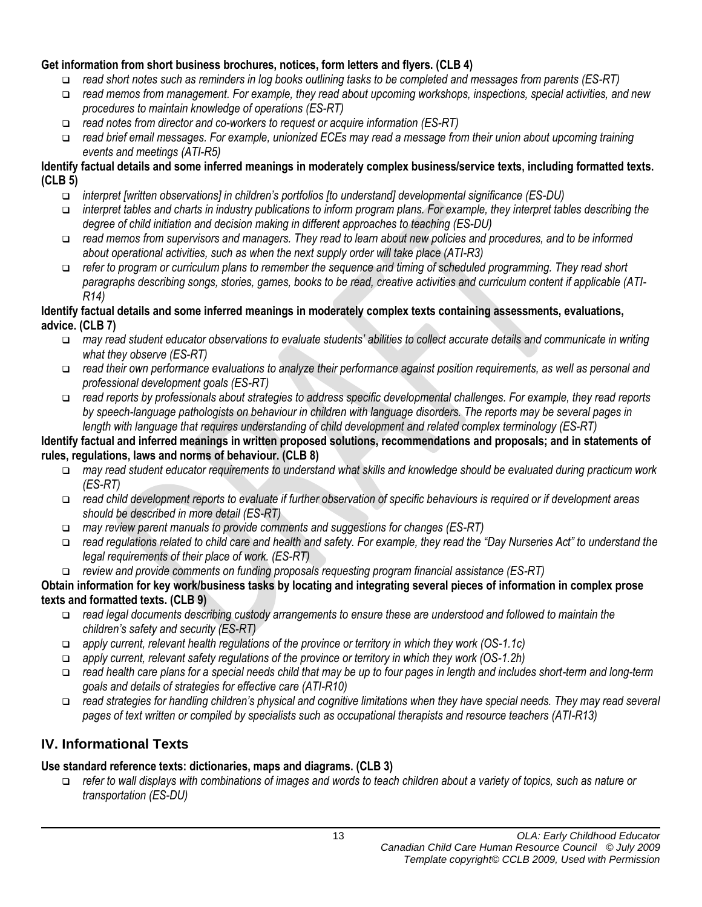#### **Get information from short business brochures, notices, form letters and flyers. (CLB 4)**

- *read short notes such as reminders in log books outlining tasks to be completed and messages from parents (ES-RT)*
- *read memos from management. For example, they read about upcoming workshops, inspections, special activities, and new procedures to maintain knowledge of operations (ES-RT)*
- *read notes from director and co-workers to request or acquire information (ES-RT)*
- *read brief email messages. For example, unionized ECEs may read a message from their union about upcoming training events and meetings (ATI-R5)*

#### **Identify factual details and some inferred meanings in moderately complex business/service texts, including formatted texts. (CLB 5)**

- *interpret [written observations] in children's portfolios [to understand] developmental significance (ES-DU)*
- *interpret tables and charts in industry publications to inform program plans. For example, they interpret tables describing the degree of child initiation and decision making in different approaches to teaching (ES-DU)*
- *read memos from supervisors and managers. They read to learn about new policies and procedures, and to be informed about operational activities, such as when the next supply order will take place (ATI-R3)*
- *refer to program or curriculum plans to remember the sequence and timing of scheduled programming. They read short paragraphs describing songs, stories, games, books to be read, creative activities and curriculum content if applicable (ATI-R14)*

#### **Identify factual details and some inferred meanings in moderately complex texts containing assessments, evaluations, advice. (CLB 7)**

- *may read student educator observations to evaluate students' abilities to collect accurate details and communicate in writing what they observe (ES-RT)*
- *read their own performance evaluations to analyze their performance against position requirements, as well as personal and professional development goals (ES-RT)*
- *read reports by professionals about strategies to address specific developmental challenges. For example, they read reports by speech-language pathologists on behaviour in children with language disorders. The reports may be several pages in length with language that requires understanding of child development and related complex terminology (ES-RT)*

#### **Identify factual and inferred meanings in written proposed solutions, recommendations and proposals; and in statements of rules, regulations, laws and norms of behaviour. (CLB 8)**

- *may read student educator requirements to understand what skills and knowledge should be evaluated during practicum work (ES-RT)*
- *read child development reports to evaluate if further observation of specific behaviours is required or if development areas should be described in more detail (ES-RT)*
- *may review parent manuals to provide comments and suggestions for changes (ES-RT)*
- *read regulations related to child care and health and safety. For example, they read the "Day Nurseries Act" to understand the legal requirements of their place of work. (ES-RT)*
- *review and provide comments on funding proposals requesting program financial assistance (ES-RT)*

#### **Obtain information for key work/business tasks by locating and integrating several pieces of information in complex prose texts and formatted texts. (CLB 9)**

- *read legal documents describing custody arrangements to ensure these are understood and followed to maintain the children's safety and security (ES-RT)*
- *apply current, relevant health regulations of the province or territory in which they work (OS-1.1c)*
- *apply current, relevant safety regulations of the province or territory in which they work (OS-1.2h)*
- *read health care plans for a special needs child that may be up to four pages in length and includes short-term and long-term goals and details of strategies for effective care (ATI-R10)*
- *read strategies for handling children's physical and cognitive limitations when they have special needs. They may read several pages of text written or compiled by specialists such as occupational therapists and resource teachers (ATI-R13)*

## **IV. Informational Texts**

#### **Use standard reference texts: dictionaries, maps and diagrams. (CLB 3)**

 *refer to wall displays with combinations of images and words to teach children about a variety of topics, such as nature or transportation (ES-DU)*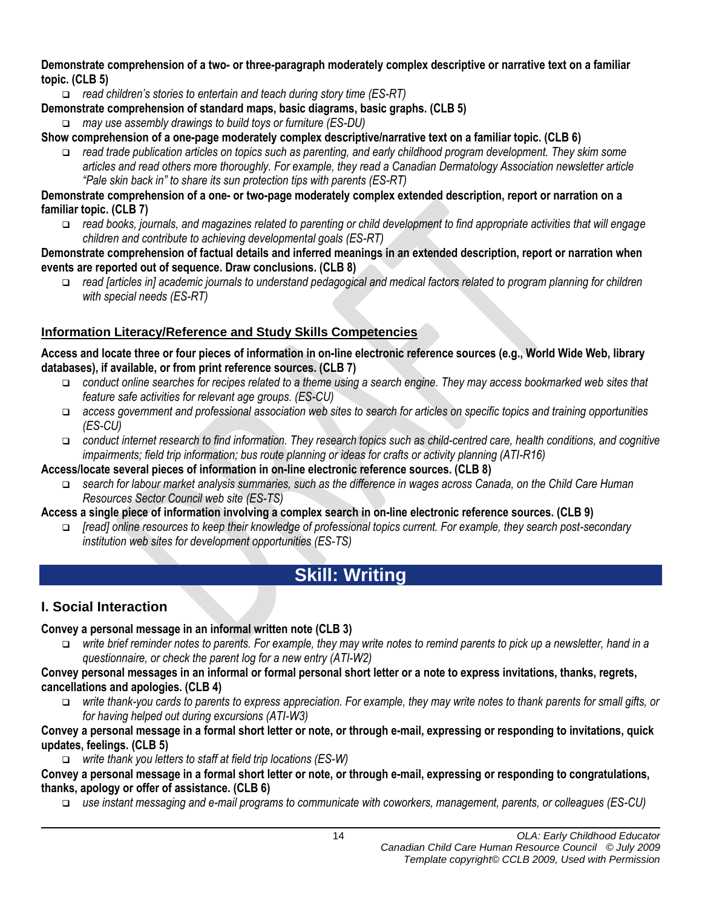#### **Demonstrate comprehension of a two- or three-paragraph moderately complex descriptive or narrative text on a familiar topic. (CLB 5)**

- *read children's stories to entertain and teach during story time (ES-RT)*
- **Demonstrate comprehension of standard maps, basic diagrams, basic graphs. (CLB 5)**
	- *may use assembly drawings to build toys or furniture (ES-DU)*

#### **Show comprehension of a one-page moderately complex descriptive/narrative text on a familiar topic. (CLB 6)**

 *read trade publication articles on topics such as parenting, and early childhood program development. They skim some articles and read others more thoroughly. For example, they read a Canadian Dermatology Association newsletter article "Pale skin back in" to share its sun protection tips with parents (ES-RT)* 

#### **Demonstrate comprehension of a one- or two-page moderately complex extended description, report or narration on a familiar topic. (CLB 7)**

 *read books, journals, and magazines related to parenting or child development to find appropriate activities that will engage children and contribute to achieving developmental goals (ES-RT)* 

#### **Demonstrate comprehension of factual details and inferred meanings in an extended description, report or narration when events are reported out of sequence. Draw conclusions. (CLB 8)**

 *read [articles in] academic journals to understand pedagogical and medical factors related to program planning for children with special needs (ES-RT)* 

### **Information Literacy/Reference and Study Skills Competencies**

#### **Access and locate three or four pieces of information in on-line electronic reference sources (e.g., World Wide Web, library databases), if available, or from print reference sources. (CLB 7)**

- *conduct online searches for recipes related to a theme using a search engine. They may access bookmarked web sites that feature safe activities for relevant age groups. (ES-CU)*
- *access government and professional association web sites to search for articles on specific topics and training opportunities (ES-CU)*
- *conduct internet research to find information. They research topics such as child-centred care, health conditions, and cognitive impairments; field trip information; bus route planning or ideas for crafts or activity planning (ATI-R16)*

#### **Access/locate several pieces of information in on-line electronic reference sources. (CLB 8)**

 *search for labour market analysis summaries, such as the difference in wages across Canada, on the Child Care Human Resources Sector Council web site (ES-TS)*

#### **Access a single piece of information involving a complex search in on-line electronic reference sources. (CLB 9)**

 *[read] online resources to keep their knowledge of professional topics current. For example, they search post-secondary institution web sites for development opportunities (ES-TS)*

# **Skill: Writing**

## **I. Social Interaction**

### **Convey a personal message in an informal written note (CLB 3)**

 *write brief reminder notes to parents. For example, they may write notes to remind parents to pick up a newsletter, hand in a questionnaire, or check the parent log for a new entry (ATI-W2)*

#### **Convey personal messages in an informal or formal personal short letter or a note to express invitations, thanks, regrets, cancellations and apologies. (CLB 4)**

 *write thank-you cards to parents to express appreciation. For example, they may write notes to thank parents for small gifts, or for having helped out during excursions (ATI-W3)*

#### **Convey a personal message in a formal short letter or note, or through e-mail, expressing or responding to invitations, quick updates, feelings. (CLB 5)**

*write thank you letters to staff at field trip locations (ES-W)*

**Convey a personal message in a formal short letter or note, or through e-mail, expressing or responding to congratulations, thanks, apology or offer of assistance. (CLB 6)**

*use instant messaging and e-mail programs to communicate with coworkers, management, parents, or colleagues (ES-CU)*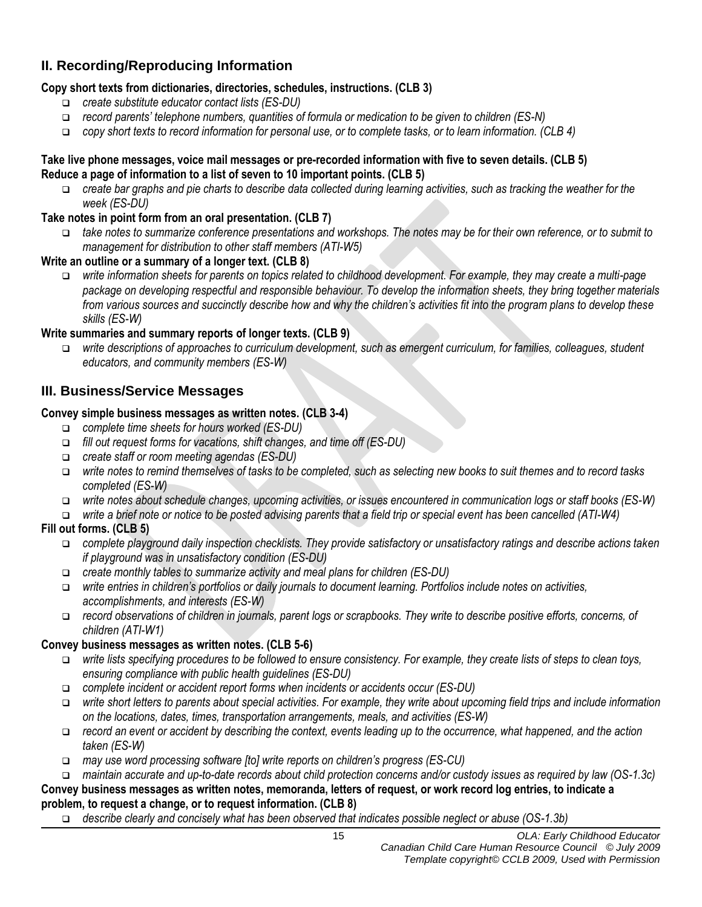## **II. Recording/Reproducing Information**

#### **Copy short texts from dictionaries, directories, schedules, instructions. (CLB 3)**

- *create substitute educator contact lists (ES-DU)*
- *record parents' telephone numbers, quantities of formula or medication to be given to children (ES-N)*
- *copy short texts to record information for personal use, or to complete tasks, or to learn information. (CLB 4)*

#### **Take live phone messages, voice mail messages or pre-recorded information with five to seven details. (CLB 5) Reduce a page of information to a list of seven to 10 important points. (CLB 5)**

- *create bar graphs and pie charts to describe data collected during learning activities, such as tracking the weather for the week (ES-DU)*
- **Take notes in point form from an oral presentation. (CLB 7)**
	- *take notes to summarize conference presentations and workshops. The notes may be for their own reference, or to submit to management for distribution to other staff members (ATI-W5)*

#### **Write an outline or a summary of a longer text. (CLB 8)**

 *write information sheets for parents on topics related to childhood development. For example, they may create a multi-page package on developing respectful and responsible behaviour. To develop the information sheets, they bring together materials from various sources and succinctly describe how and why the children's activities fit into the program plans to develop these skills (ES-W)*

#### **Write summaries and summary reports of longer texts. (CLB 9)**

 *write descriptions of approaches to curriculum development, such as emergent curriculum, for families, colleagues, student educators, and community members (ES-W)*

#### **III. Business/Service Messages**

#### **Convey simple business messages as written notes. (CLB 3-4)**

- *complete time sheets for hours worked (ES-DU)*
- *fill out request forms for vacations, shift changes, and time off (ES-DU)*
- *create staff or room meeting agendas (ES-DU)*
- *write notes to remind themselves of tasks to be completed, such as selecting new books to suit themes and to record tasks completed (ES-W)*
- *write notes about schedule changes, upcoming activities, or issues encountered in communication logs or staff books (ES-W)*
- *write a brief note or notice to be posted advising parents that a field trip or special event has been cancelled (ATI-W4)*

#### **Fill out forms. (CLB 5)**

- *complete playground daily inspection checklists. They provide satisfactory or unsatisfactory ratings and describe actions taken if playground was in unsatisfactory condition (ES-DU)*
- *create monthly tables to summarize activity and meal plans for children (ES-DU)*
- *write entries in children's portfolios or daily journals to document learning. Portfolios include notes on activities, accomplishments, and interests (ES-W)*
- *record observations of children in journals, parent logs or scrapbooks. They write to describe positive efforts, concerns, of children (ATI-W1)*

#### **Convey business messages as written notes. (CLB 5-6)**

- *write lists specifying procedures to be followed to ensure consistency. For example, they create lists of steps to clean toys, ensuring compliance with public health guidelines (ES-DU)*
- *complete incident or accident report forms when incidents or accidents occur (ES-DU)*
- *write short letters to parents about special activities. For example, they write about upcoming field trips and include information on the locations, dates, times, transportation arrangements, meals, and activities (ES-W)*
- *record an event or accident by describing the context, events leading up to the occurrence, what happened, and the action taken (ES-W)*
- *may use word processing software [to] write reports on children's progress (ES-CU)*
- *maintain accurate and up-to-date records about child protection concerns and/or custody issues as required by law (OS-1.3c)*

#### **Convey business messages as written notes, memoranda, letters of request, or work record log entries, to indicate a problem, to request a change, or to request information. (CLB 8)**

*describe clearly and concisely what has been observed that indicates possible neglect or abuse (OS-1.3b)*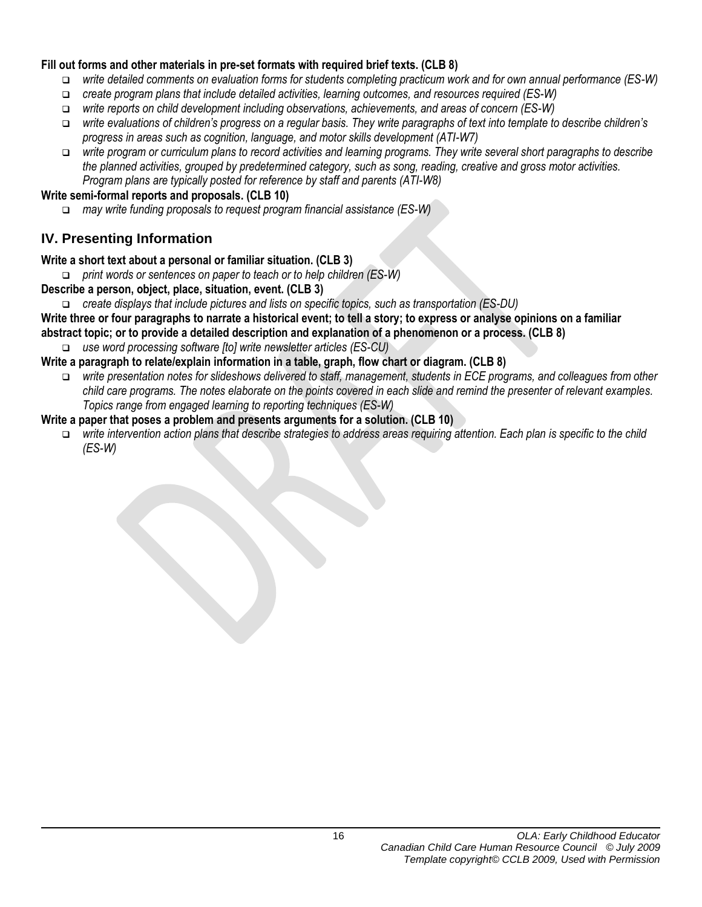#### **Fill out forms and other materials in pre-set formats with required brief texts. (CLB 8)**

- *write detailed comments on evaluation forms for students completing practicum work and for own annual performance (ES-W)*
- *create program plans that include detailed activities, learning outcomes, and resources required (ES-W)*
- *write reports on child development including observations, achievements, and areas of concern (ES-W)*
- *write evaluations of children's progress on a regular basis. They write paragraphs of text into template to describe children's progress in areas such as cognition, language, and motor skills development (ATI-W7)*
- *write program or curriculum plans to record activities and learning programs. They write several short paragraphs to describe the planned activities, grouped by predetermined category, such as song, reading, creative and gross motor activities. Program plans are typically posted for reference by staff and parents (ATI-W8)*

#### **Write semi-formal reports and proposals. (CLB 10)**

*may write funding proposals to request program financial assistance (ES-W)*

## **IV. Presenting Information**

#### **Write a short text about a personal or familiar situation. (CLB 3)**

- *print words or sentences on paper to teach or to help children (ES-W)*
- **Describe a person, object, place, situation, event. (CLB 3)**
	- *create displays that include pictures and lists on specific topics, such as transportation (ES-DU)*

**Write three or four paragraphs to narrate a historical event; to tell a story; to express or analyse opinions on a familiar abstract topic; or to provide a detailed description and explanation of a phenomenon or a process. (CLB 8)**

*use word processing software [to] write newsletter articles (ES-CU)*

#### **Write a paragraph to relate/explain information in a table, graph, flow chart or diagram. (CLB 8)**

- *write presentation notes for slideshows delivered to staff, management, students in ECE programs, and colleagues from other child care programs. The notes elaborate on the points covered in each slide and remind the presenter of relevant examples. Topics range from engaged learning to reporting techniques (ES-W)*
- **Write a paper that poses a problem and presents arguments for a solution. (CLB 10)**
	- *write intervention action plans that describe strategies to address areas requiring attention. Each plan is specific to the child (ES-W)*